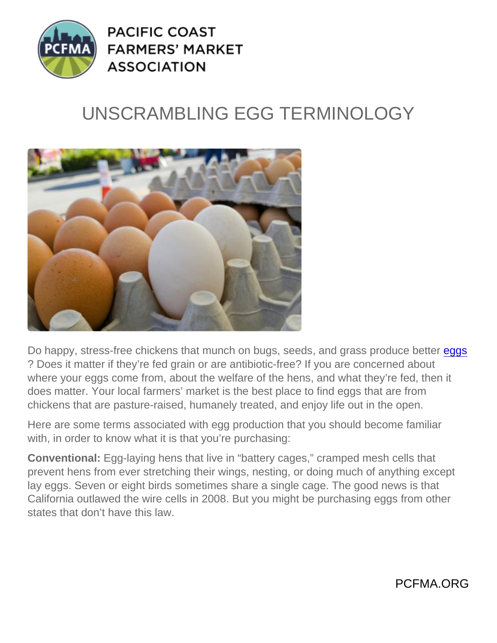## UNSCRAMBLING EGG TERMINOLOGY

Do happy, stress-free chickens that munch on bugs, seeds, and grass produce better [eggs](https://www.pcfma.org/produce/eggs) ? Does it matter if they're fed grain or are antibiotic-free? If you are concerned about where your eggs come from, about the welfare of the hens, and what they're fed, then it does matter. Your local farmers' market is the best place to find eggs that are from chickens that are pasture-raised, humanely treated, and enjoy life out in the open.

Here are some terms associated with egg production that you should become familiar with, in order to know what it is that you're purchasing:

Conventional: Egg-laying hens that live in "battery cages," cramped mesh cells that prevent hens from ever stretching their wings, nesting, or doing much of anything except lay eggs. Seven or eight birds sometimes share a single cage. The good news is that California outlawed the wire cells in 2008. But you might be purchasing eggs from other states that don't have this law.

PCFMA.ORG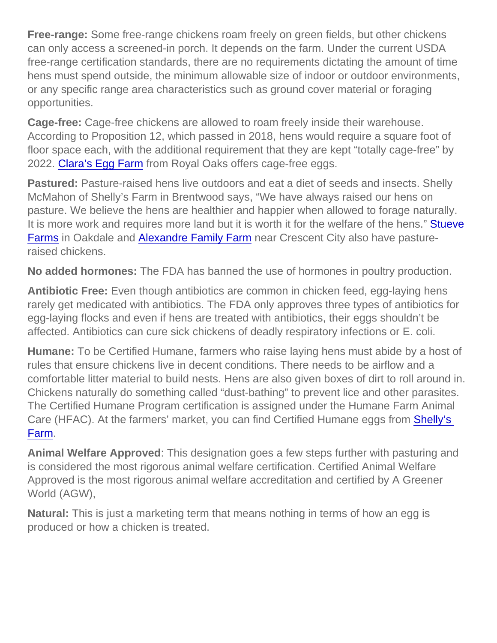Free-range: Some free-range chickens roam freely on green fields, but other chickens can only access a screened-in porch. It depends on the farm. Under the current USDA free-range certification standards, there are no requirements dictating the amount of time hens must spend outside, the minimum allowable size of indoor or outdoor environments, or any specific range area characteristics such as ground cover material or foraging opportunities.

Cage-free: Cage-free chickens are allowed to roam freely inside their warehouse. According to Proposition 12, which passed in 2018, hens would require a square foot of floor space each, with the additional requirement that they are kept "totally cage-free" by 2022. [Clara's Egg Farm](https://www.pcfma.org/vendors/claras-egg-farm) from Royal Oaks offers cage-free eggs.

Pastured: Pasture-raised hens live outdoors and eat a diet of seeds and insects. Shelly McMahon of Shelly's Farm in Brentwood says, "We have always raised our hens on pasture. We believe the hens are healthier and happier when allowed to forage naturally. It is more work and requires more land but it is worth it for the welfare of the hens." **Stueve** [Farms](https://www.pcfma.org/vendors/stueve-organic) in Oakdale and [Alexandre Family Farm](https://www.pcfma.org/vendors/alexandre-family-farm) near Crescent City also have pastureraised chickens.

No added hormones: The FDA has banned the use of hormones in poultry production.

Antibiotic Free: Even though antibiotics are common in chicken feed, egg-laying hens rarely get medicated with antibiotics. The FDA only approves three types of antibiotics for egg-laying flocks and even if hens are treated with antibiotics, their eggs shouldn't be affected. Antibiotics can cure sick chickens of deadly respiratory infections or E. coli.

Humane: To be Certified Humane, farmers who raise laying hens must abide by a host of rules that ensure chickens live in decent conditions. There needs to be airflow and a comfortable litter material to build nests. Hens are also given boxes of dirt to roll around in. Chickens naturally do something called "dust-bathing" to prevent lice and other parasites. The Certified Humane Program certification is assigned under the Humane Farm Animal Care (HFAC). At the farmers' market, you can find Certified Humane eggs from [Shelly's](https://www.pcfma.org/vendors/shellys-farm)  [Farm.](https://www.pcfma.org/vendors/shellys-farm)

Animal Welfare Approved : This designation goes a few steps further with pasturing and is considered the most rigorous animal welfare certification. Certified Animal Welfare Approved is the most rigorous animal welfare accreditation and certified by A Greener World (AGW),

Natural: This is just a marketing term that means nothing in terms of how an egg is produced or how a chicken is treated.